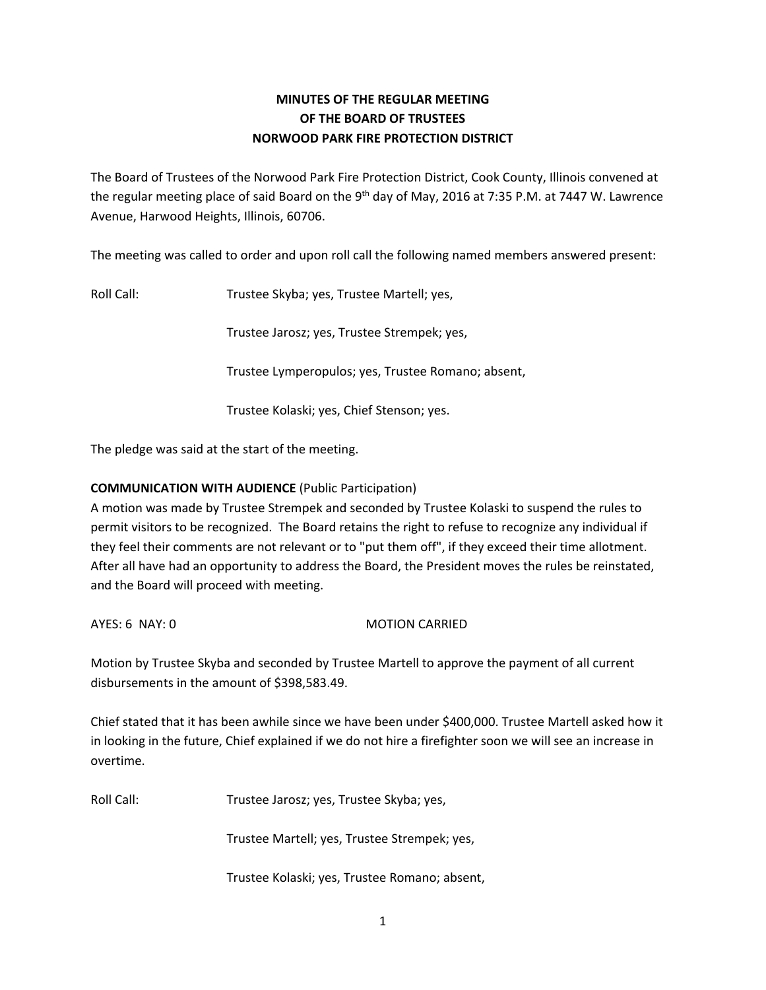# **MINUTES OF THE REGULAR MEETING OF THE BOARD OF TRUSTEES NORWOOD PARK FIRE PROTECTION DISTRICT**

The Board of Trustees of the Norwood Park Fire Protection District, Cook County, Illinois convened at the regular meeting place of said Board on the 9<sup>th</sup> day of May, 2016 at 7:35 P.M. at 7447 W. Lawrence Avenue, Harwood Heights, Illinois, 60706.

The meeting was called to order and upon roll call the following named members answered present:

Roll Call: Trustee Skyba; yes, Trustee Martell; yes,

Trustee Jarosz; yes, Trustee Strempek; yes,

Trustee Lymperopulos; yes, Trustee Romano; absent,

Trustee Kolaski; yes, Chief Stenson; yes.

The pledge was said at the start of the meeting.

# **COMMUNICATION WITH AUDIENCE** (Public Participation)

A motion was made by Trustee Strempek and seconded by Trustee Kolaski to suspend the rules to permit visitors to be recognized. The Board retains the right to refuse to recognize any individual if they feel their comments are not relevant or to "put them off", if they exceed their time allotment. After all have had an opportunity to address the Board, the President moves the rules be reinstated, and the Board will proceed with meeting.

AYES: 6 NAY: 0 MOTION CARRIED

Motion by Trustee Skyba and seconded by Trustee Martell to approve the payment of all current disbursements in the amount of \$398,583.49.

Chief stated that it has been awhile since we have been under \$400,000. Trustee Martell asked how it in looking in the future, Chief explained if we do not hire a firefighter soon we will see an increase in overtime.

Roll Call: Trustee Jarosz; yes, Trustee Skyba; yes,

Trustee Martell; yes, Trustee Strempek; yes,

Trustee Kolaski; yes, Trustee Romano; absent,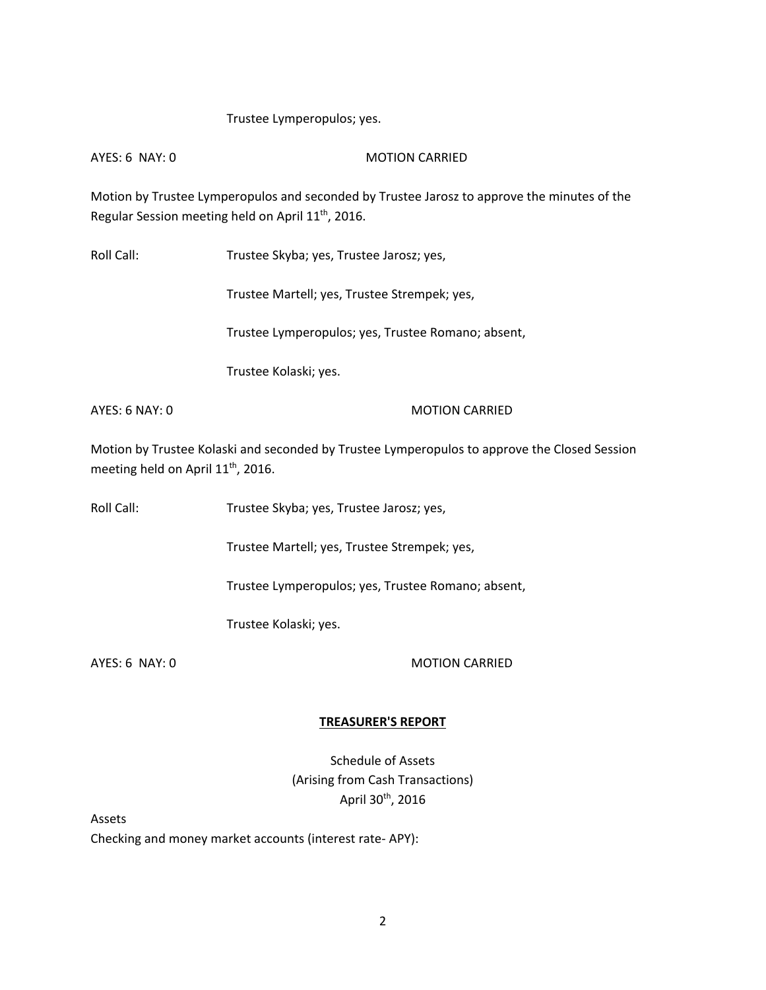### Trustee Lymperopulos; yes.

AYES: 6 NAY: 0 MOTION CARRIED

Motion by Trustee Lymperopulos and seconded by Trustee Jarosz to approve the minutes of the Regular Session meeting held on April 11<sup>th</sup>, 2016.

Roll Call: Trustee Skyba; yes, Trustee Jarosz; yes,

Trustee Martell; yes, Trustee Strempek; yes,

Trustee Lymperopulos; yes, Trustee Romano; absent,

Trustee Kolaski; yes.

AYES: 6 NAY: 0 MOTION CARRIED

Motion by Trustee Kolaski and seconded by Trustee Lymperopulos to approve the Closed Session meeting held on April 11<sup>th</sup>, 2016.

Roll Call: Trustee Skyba; yes, Trustee Jarosz; yes,

Trustee Martell; yes, Trustee Strempek; yes,

Trustee Lymperopulos; yes, Trustee Romano; absent,

Trustee Kolaski; yes.

AYES: 6 NAY: 0 MOTION CARRIED

### **TREASURER'S REPORT**

Schedule of Assets (Arising from Cash Transactions) April 30th, 2016

Assets

Checking and money market accounts (interest rate- APY):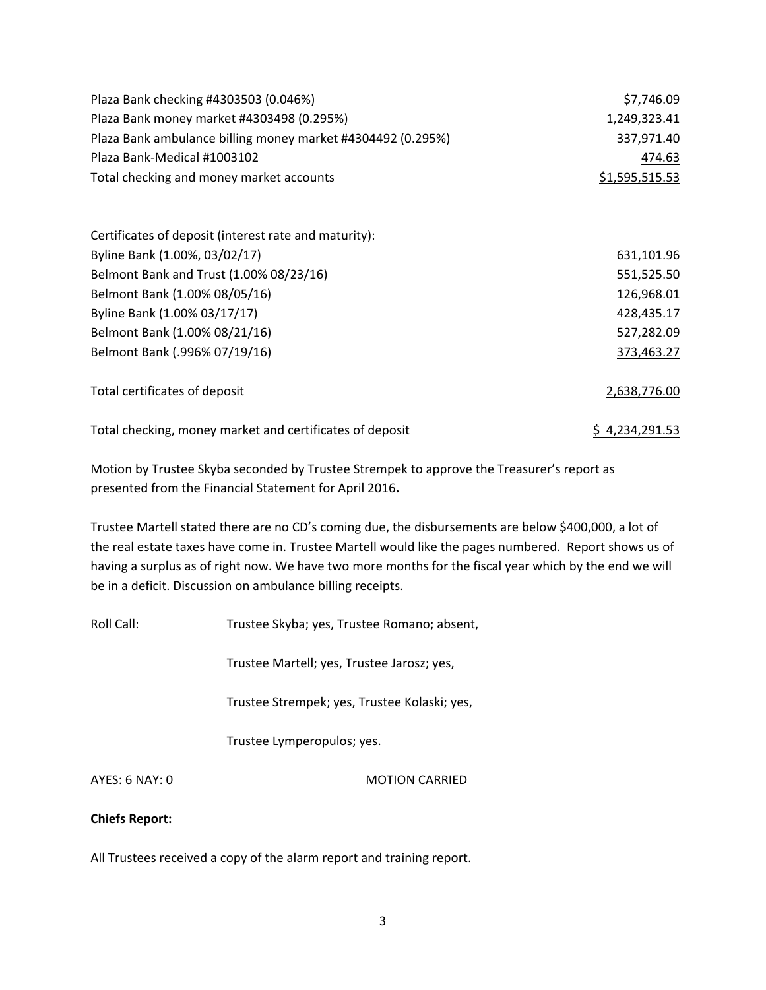| Plaza Bank checking #4303503 (0.046%)                       | \$7,746.09     |
|-------------------------------------------------------------|----------------|
| Plaza Bank money market #4303498 (0.295%)                   | 1,249,323.41   |
| Plaza Bank ambulance billing money market #4304492 (0.295%) | 337,971.40     |
| Plaza Bank-Medical #1003102                                 | 474.63         |
| Total checking and money market accounts                    | \$1,595,515.53 |
|                                                             |                |
| Certificates of deposit (interest rate and maturity):       |                |
| Byline Bank (1.00%, 03/02/17)                               | 631,101.96     |
| Belmont Bank and Trust (1.00% 08/23/16)                     | 551,525.50     |
| Belmont Bank (1.00% 08/05/16)                               | 126,968.01     |
| Byline Bank (1.00% 03/17/17)                                | 428,435.17     |
| Belmont Bank (1.00% 08/21/16)                               | 527,282.09     |
| Belmont Bank (.996% 07/19/16)                               | 373,463.27     |
| Total certificates of deposit                               | 2,638,776.00   |
| Total checking, money market and certificates of deposit    | \$4,234,291.53 |

Motion by Trustee Skyba seconded by Trustee Strempek to approve the Treasurer's report as presented from the Financial Statement for April 2016**.** 

Trustee Martell stated there are no CD's coming due, the disbursements are below \$400,000, a lot of the real estate taxes have come in. Trustee Martell would like the pages numbered. Report shows us of having a surplus as of right now. We have two more months for the fiscal year which by the end we will be in a deficit. Discussion on ambulance billing receipts.

Roll Call: Trustee Skyba; yes, Trustee Romano; absent,

Trustee Martell; yes, Trustee Jarosz; yes,

Trustee Strempek; yes, Trustee Kolaski; yes,

Trustee Lymperopulos; yes.

AYES: 6 NAY: 0 MOTION CARRIED

### **Chiefs Report:**

All Trustees received a copy of the alarm report and training report.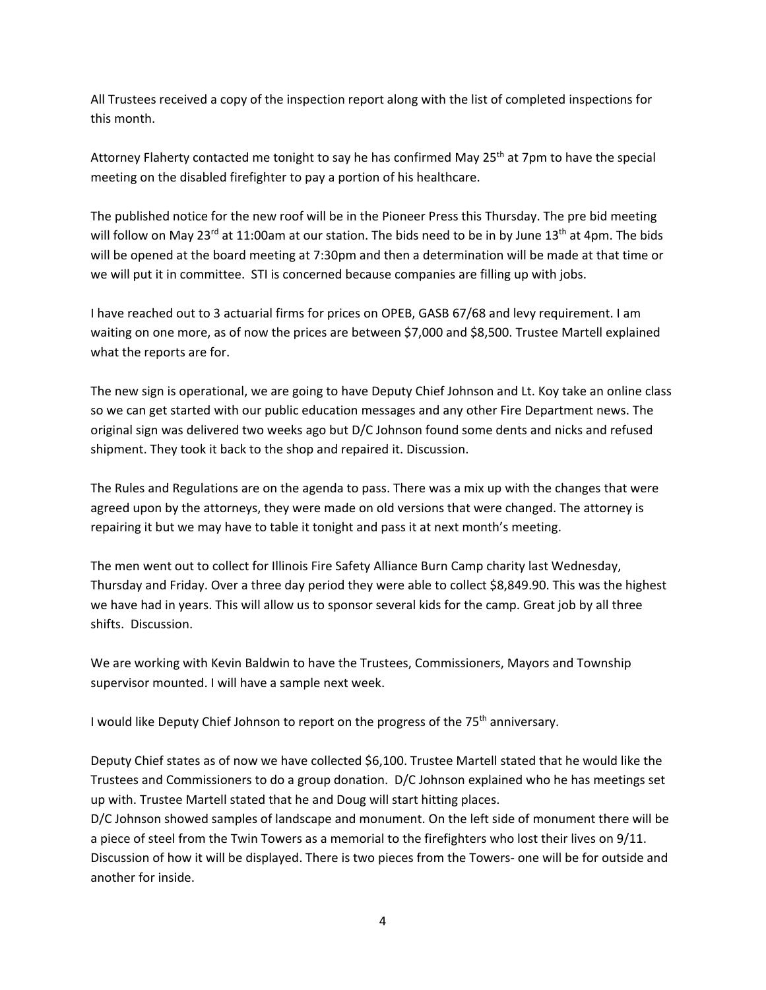All Trustees received a copy of the inspection report along with the list of completed inspections for this month.

Attorney Flaherty contacted me tonight to say he has confirmed May 25<sup>th</sup> at 7pm to have the special meeting on the disabled firefighter to pay a portion of his healthcare.

The published notice for the new roof will be in the Pioneer Press this Thursday. The pre bid meeting will follow on May 23<sup>rd</sup> at 11:00am at our station. The bids need to be in by June 13<sup>th</sup> at 4pm. The bids will be opened at the board meeting at 7:30pm and then a determination will be made at that time or we will put it in committee. STI is concerned because companies are filling up with jobs.

I have reached out to 3 actuarial firms for prices on OPEB, GASB 67/68 and levy requirement. I am waiting on one more, as of now the prices are between \$7,000 and \$8,500. Trustee Martell explained what the reports are for.

The new sign is operational, we are going to have Deputy Chief Johnson and Lt. Koy take an online class so we can get started with our public education messages and any other Fire Department news. The original sign was delivered two weeks ago but D/C Johnson found some dents and nicks and refused shipment. They took it back to the shop and repaired it. Discussion.

The Rules and Regulations are on the agenda to pass. There was a mix up with the changes that were agreed upon by the attorneys, they were made on old versions that were changed. The attorney is repairing it but we may have to table it tonight and pass it at next month's meeting.

The men went out to collect for Illinois Fire Safety Alliance Burn Camp charity last Wednesday, Thursday and Friday. Over a three day period they were able to collect \$8,849.90. This was the highest we have had in years. This will allow us to sponsor several kids for the camp. Great job by all three shifts. Discussion.

We are working with Kevin Baldwin to have the Trustees, Commissioners, Mayors and Township supervisor mounted. I will have a sample next week.

I would like Deputy Chief Johnson to report on the progress of the 75<sup>th</sup> anniversary.

Deputy Chief states as of now we have collected \$6,100. Trustee Martell stated that he would like the Trustees and Commissioners to do a group donation. D/C Johnson explained who he has meetings set up with. Trustee Martell stated that he and Doug will start hitting places.

D/C Johnson showed samples of landscape and monument. On the left side of monument there will be a piece of steel from the Twin Towers as a memorial to the firefighters who lost their lives on 9/11. Discussion of how it will be displayed. There is two pieces from the Towers- one will be for outside and another for inside.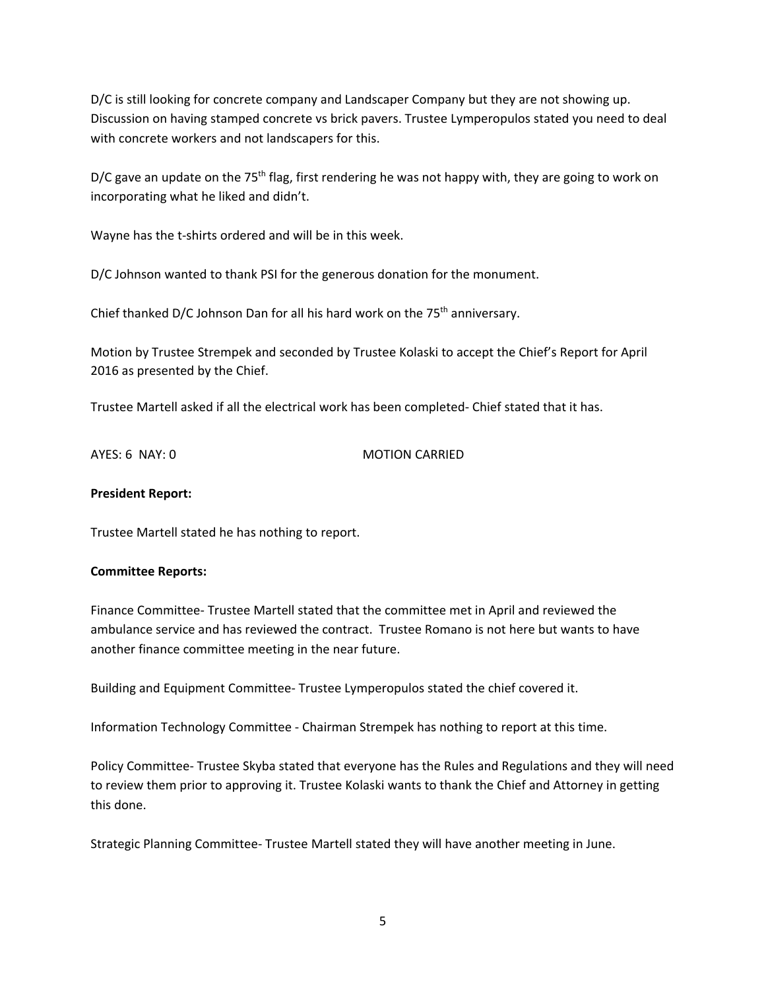D/C is still looking for concrete company and Landscaper Company but they are not showing up. Discussion on having stamped concrete vs brick pavers. Trustee Lymperopulos stated you need to deal with concrete workers and not landscapers for this.

D/C gave an update on the 75<sup>th</sup> flag, first rendering he was not happy with, they are going to work on incorporating what he liked and didn't.

Wayne has the t-shirts ordered and will be in this week.

D/C Johnson wanted to thank PSI for the generous donation for the monument.

Chief thanked D/C Johnson Dan for all his hard work on the 75<sup>th</sup> anniversary.

Motion by Trustee Strempek and seconded by Trustee Kolaski to accept the Chief's Report for April 2016 as presented by the Chief.

Trustee Martell asked if all the electrical work has been completed- Chief stated that it has.

AYES: 6 NAY: 0 MOTION CARRIED

### **President Report:**

Trustee Martell stated he has nothing to report.

### **Committee Reports:**

Finance Committee- Trustee Martell stated that the committee met in April and reviewed the ambulance service and has reviewed the contract. Trustee Romano is not here but wants to have another finance committee meeting in the near future.

Building and Equipment Committee- Trustee Lymperopulos stated the chief covered it.

Information Technology Committee - Chairman Strempek has nothing to report at this time.

Policy Committee- Trustee Skyba stated that everyone has the Rules and Regulations and they will need to review them prior to approving it. Trustee Kolaski wants to thank the Chief and Attorney in getting this done.

Strategic Planning Committee- Trustee Martell stated they will have another meeting in June.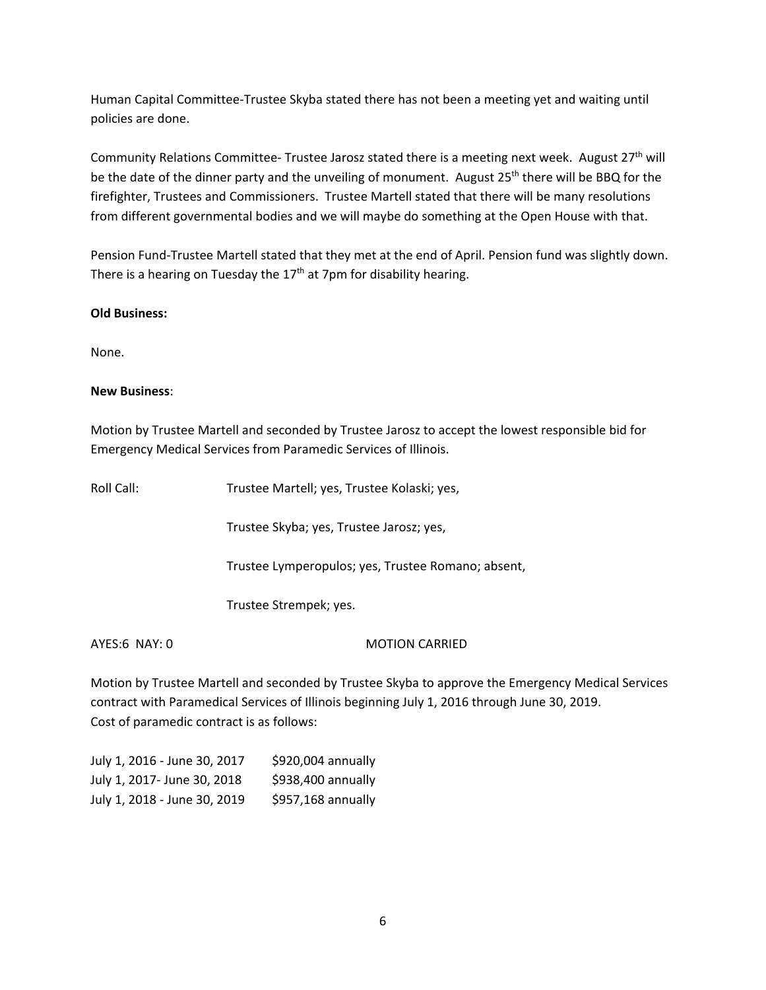Human Capital Committee-Trustee Skyba stated there has not been a meeting yet and waiting until policies are done.

Community Relations Committee- Trustee Jarosz stated there is a meeting next week. August 27<sup>th</sup> will be the date of the dinner party and the unveiling of monument. August 25<sup>th</sup> there will be BBQ for the firefighter, Trustees and Commissioners. Trustee Martell stated that there will be many resolutions from different governmental bodies and we will maybe do something at the Open House with that.

Pension Fund-Trustee Martell stated that they met at the end of April. Pension fund was slightly down. There is a hearing on Tuesday the  $17<sup>th</sup>$  at 7pm for disability hearing.

# **Old Business:**

None.

# **New Business**:

Motion by Trustee Martell and seconded by Trustee Jarosz to accept the lowest responsible bid for Emergency Medical Services from Paramedic Services of Illinois.

| Roll Call:    | Trustee Martell; yes, Trustee Kolaski; yes,        |  |
|---------------|----------------------------------------------------|--|
|               | Trustee Skyba; yes, Trustee Jarosz; yes,           |  |
|               | Trustee Lymperopulos; yes, Trustee Romano; absent, |  |
|               | Trustee Strempek; yes.                             |  |
| AYES:6 NAY: 0 | <b>MOTION CARRIED</b>                              |  |

Motion by Trustee Martell and seconded by Trustee Skyba to approve the Emergency Medical Services contract with Paramedical Services of Illinois beginning July 1, 2016 through June 30, 2019. Cost of paramedic contract is as follows:

| July 1, 2016 - June 30, 2017 | \$920,004 annually |
|------------------------------|--------------------|
| July 1, 2017- June 30, 2018  | \$938,400 annually |
| July 1, 2018 - June 30, 2019 | \$957,168 annually |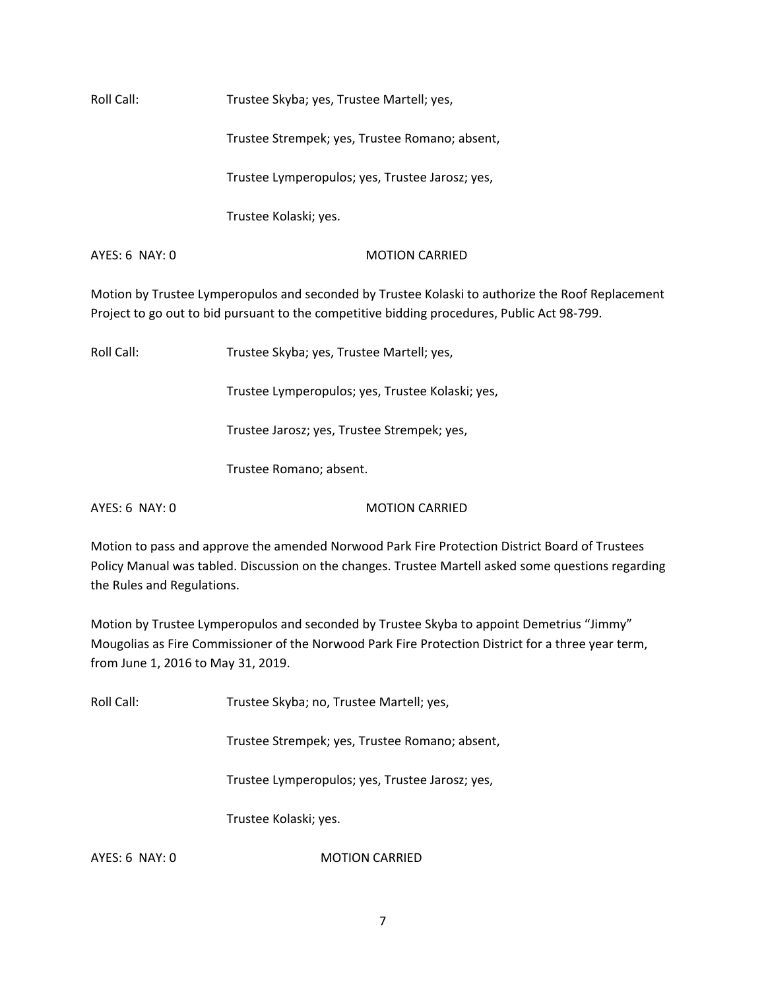Roll Call: Trustee Skyba; yes, Trustee Martell; yes,

Trustee Strempek; yes, Trustee Romano; absent,

Trustee Lymperopulos; yes, Trustee Jarosz; yes,

Trustee Kolaski; yes.

AYES: 6 NAY: 0 MOTION CARRIED

Motion by Trustee Lymperopulos and seconded by Trustee Kolaski to authorize the Roof Replacement Project to go out to bid pursuant to the competitive bidding procedures, Public Act 98-799.

Roll Call: Trustee Skyba; yes, Trustee Martell; yes,

Trustee Lymperopulos; yes, Trustee Kolaski; yes,

Trustee Jarosz; yes, Trustee Strempek; yes,

Trustee Romano; absent.

AYES: 6 NAY: 0 MOTION CARRIED

Motion to pass and approve the amended Norwood Park Fire Protection District Board of Trustees Policy Manual was tabled. Discussion on the changes. Trustee Martell asked some questions regarding the Rules and Regulations.

Motion by Trustee Lymperopulos and seconded by Trustee Skyba to appoint Demetrius "Jimmy" Mougolias as Fire Commissioner of the Norwood Park Fire Protection District for a three year term, from June 1, 2016 to May 31, 2019.

Roll Call: Trustee Skyba; no, Trustee Martell; yes,

Trustee Strempek; yes, Trustee Romano; absent,

Trustee Lymperopulos; yes, Trustee Jarosz; yes,

Trustee Kolaski; yes.

AYES: 6 NAY: 0 MOTION CARRIED